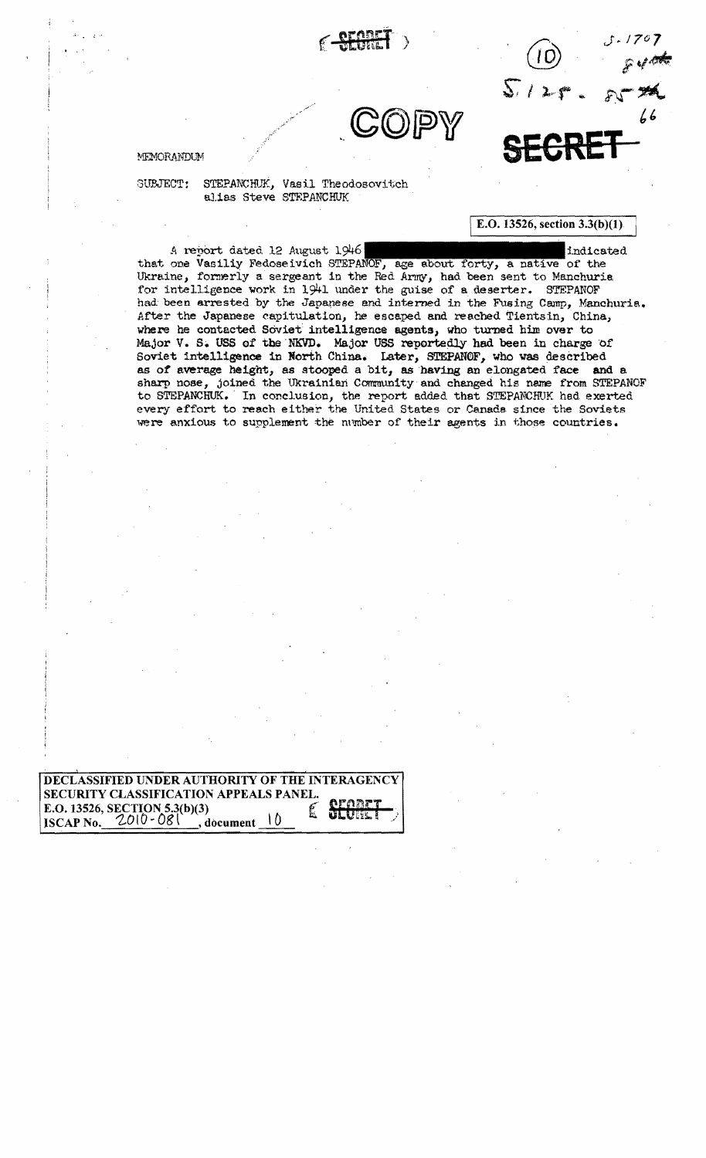

 $\begin{picture}(180,170) \put(100,170){\makebox(0,0){$J$}}\put(100,170){\makebox(0,0){$J$}}\put(100,170){\makebox(0,0){$J$}}\put(100,170){\makebox(0,0){$J$}}\put(100,170){\makebox(0,0){$J$}}\put(100,170){\makebox(0,0){$J$}}\put(100,170){\makebox(0,0){$J$}}\put(100,170){\makebox(0,0){$J$}}\put(100,170){\makebox(0,0){$J$}}$  $5129.88$ *t'* 

E.O. 13526, section  $3.3(b)(1)$ 

MEMORANDUM **SEGRET** 

SUPJECT: STEPANCHUK, Vasil Theodosovitch alias Steve STEPANCHUK

A report dated 12 August 1946 : the state of the indicated indicated

that one Vasiliy Fedoseivich STEPANOF, age about forty, a native of the Ukraine, formerly a sergeant in the Red Army, had been sent to Manchuria for intelligence work in 1941 under the guise of e. deserter. STEPANOF had been arrested by the Japapese and interned in the Fusing Camp, Manchuria. After the Japanese capitulation, he escaped and reached Tientsin, China, where he contacted Soviet intelligence agents, who turned him over to Major V. S. USS of the NKVD. Major USS reportedly had been in charge of Soviet intelligence in North China. Later, STEPAN0F, who was described as of average height, as stooped a bit, as having an elongated face and a sharp nose, joined the Ukrainian Community and changed his name from STEPANOF to STEPANCHUK. In conclusion, the report added that STEPANCHUK had exerted every effort to reach either the United States or Canada since the Soviets were anxious to supplement the number of their agents in those countries.

DECLASSIFIED UNDER AUTHORITY OF THE INTERAGENCY SECURITY CLASSIFICATION APPEALS PANEL. E.O. 13526, SECTION 5.3(b)(3)  $\sum_{\text{ISCAP No.}} 2010 - 081$ , document  $10$ **g**, document  $\theta$